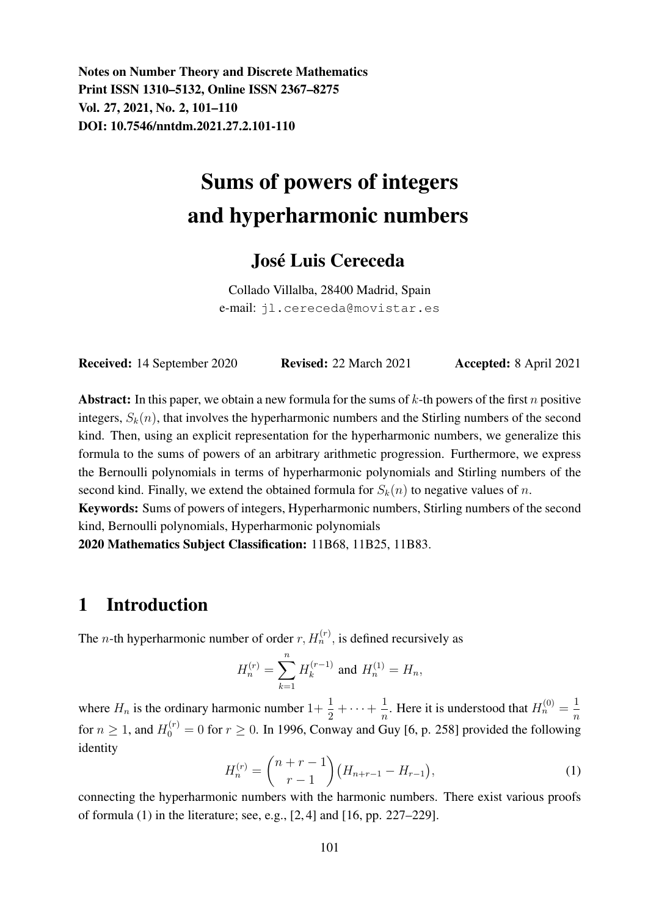Notes on Number Theory and Discrete Mathematics Print ISSN 1310–5132, Online ISSN 2367–8275 Vol. 27, 2021, No. 2, 101–110 DOI: 10.7546/nntdm.2021.27.2.101-110

# Sums of powers of integers and hyperharmonic numbers

#### Jose Luis Cereceda ´

Collado Villalba, 28400 Madrid, Spain e-mail: jl.cereceda@movistar.es

| <b>Received:</b> 14 September 2020 | <b>Revised:</b> 22 March 2021 | <b>Accepted:</b> 8 April 2021 |
|------------------------------------|-------------------------------|-------------------------------|
|------------------------------------|-------------------------------|-------------------------------|

**Abstract:** In this paper, we obtain a new formula for the sums of  $k$ -th powers of the first n positive integers,  $S_k(n)$ , that involves the hyperharmonic numbers and the Stirling numbers of the second kind. Then, using an explicit representation for the hyperharmonic numbers, we generalize this formula to the sums of powers of an arbitrary arithmetic progression. Furthermore, we express the Bernoulli polynomials in terms of hyperharmonic polynomials and Stirling numbers of the second kind. Finally, we extend the obtained formula for  $S_k(n)$  to negative values of n.

Keywords: Sums of powers of integers, Hyperharmonic numbers, Stirling numbers of the second kind, Bernoulli polynomials, Hyperharmonic polynomials

2020 Mathematics Subject Classification: 11B68, 11B25, 11B83.

#### 1 Introduction

The *n*-th hyperharmonic number of order  $r$ ,  $H_n^{(r)}$ , is defined recursively as

$$
H_n^{(r)} = \sum_{k=1}^n H_k^{(r-1)}
$$
 and  $H_n^{(1)} = H_n$ ,

where  $H_n$  is the ordinary harmonic number  $1 + \frac{1}{2} + \cdots + \frac{1}{n}$  $\frac{1}{n}$ . Here it is understood that  $H_n^{(0)} = \frac{1}{n}$ n for  $n \ge 1$ , and  $H_0^{(r)} = 0$  for  $r \ge 0$ . In 1996, Conway and Guy [6, p. 258] provided the following identity

$$
H_n^{(r)} = \binom{n+r-1}{r-1} \left( H_{n+r-1} - H_{r-1} \right),\tag{1}
$$

connecting the hyperharmonic numbers with the harmonic numbers. There exist various proofs of formula (1) in the literature; see, e.g., [2, 4] and [16, pp. 227–229].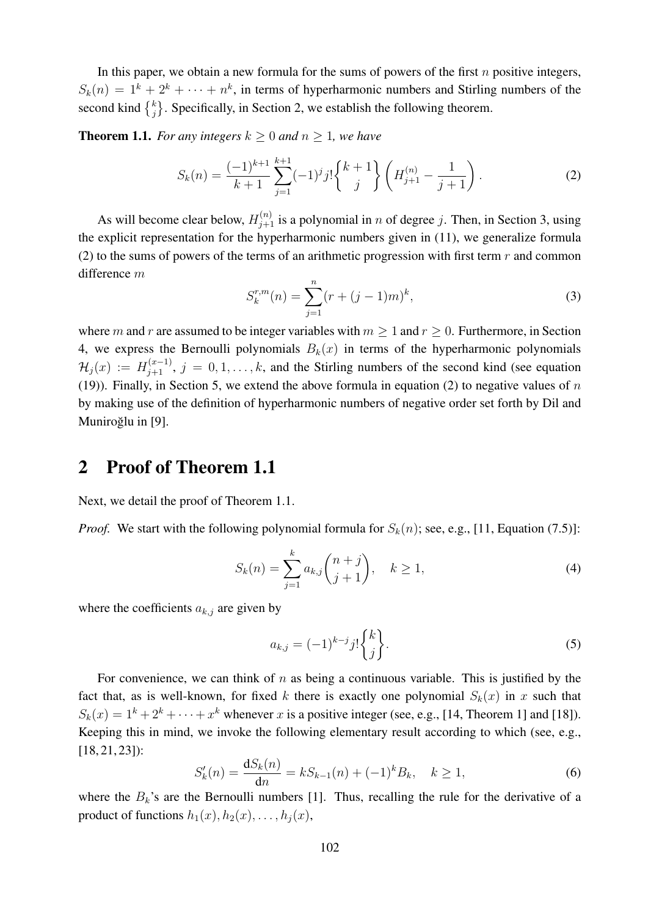In this paper, we obtain a new formula for the sums of powers of the first  $n$  positive integers,  $S_k(n) = 1^k + 2^k + \cdots + n^k$ , in terms of hyperharmonic numbers and Stirling numbers of the second kind  $\begin{Bmatrix} k \\ j \end{Bmatrix}$ . Specifically, in Section 2, we establish the following theorem.

**Theorem 1.1.** *For any integers*  $k \geq 0$  *and*  $n \geq 1$ *, we have* 

$$
S_k(n) = \frac{(-1)^{k+1}}{k+1} \sum_{j=1}^{k+1} (-1)^j j! \begin{Bmatrix} k+1 \\ j \end{Bmatrix} \left( H_{j+1}^{(n)} - \frac{1}{j+1} \right). \tag{2}
$$

As will become clear below,  $H_{j+1}^{(n)}$  is a polynomial in n of degree j. Then, in Section 3, using the explicit representation for the hyperharmonic numbers given in (11), we generalize formula (2) to the sums of powers of the terms of an arithmetic progression with first term  $r$  and common difference m

$$
S_k^{r,m}(n) = \sum_{j=1}^n (r + (j-1)m)^k,
$$
\n(3)

where m and r are assumed to be integer variables with  $m \ge 1$  and  $r \ge 0$ . Furthermore, in Section 4, we express the Bernoulli polynomials  $B_k(x)$  in terms of the hyperharmonic polynomials  $\mathcal{H}_j(x) := H_{j+1}^{(x-1)}$ ,  $j = 0, 1, \ldots, k$ , and the Stirling numbers of the second kind (see equation (19)). Finally, in Section 5, we extend the above formula in equation (2) to negative values of  $n$ by making use of the definition of hyperharmonic numbers of negative order set forth by Dil and Muniroğlu in [9].

#### 2 Proof of Theorem 1.1

Next, we detail the proof of Theorem 1.1.

*Proof.* We start with the following polynomial formula for  $S_k(n)$ ; see, e.g., [11, Equation (7.5)]:

$$
S_k(n) = \sum_{j=1}^k a_{k,j} \binom{n+j}{j+1}, \quad k \ge 1,
$$
 (4)

where the coefficients  $a_{k,j}$  are given by

$$
a_{k,j} = (-1)^{k-j} j! \begin{Bmatrix} k \\ j \end{Bmatrix}.
$$
\n
$$
(5)
$$

For convenience, we can think of  $n$  as being a continuous variable. This is justified by the fact that, as is well-known, for fixed k there is exactly one polynomial  $S_k(x)$  in x such that  $S_k(x) = 1^k + 2^k + \cdots + x^k$  whenever x is a positive integer (see, e.g., [14, Theorem 1] and [18]). Keeping this in mind, we invoke the following elementary result according to which (see, e.g., [18, 21, 23]):

$$
S'_{k}(n) = \frac{\mathrm{d}S_{k}(n)}{\mathrm{d}n} = kS_{k-1}(n) + (-1)^{k}B_{k}, \quad k \ge 1,
$$
\n(6)

where the  $B_k$ 's are the Bernoulli numbers [1]. Thus, recalling the rule for the derivative of a product of functions  $h_1(x)$ ,  $h_2(x)$ , ...,  $h_j(x)$ ,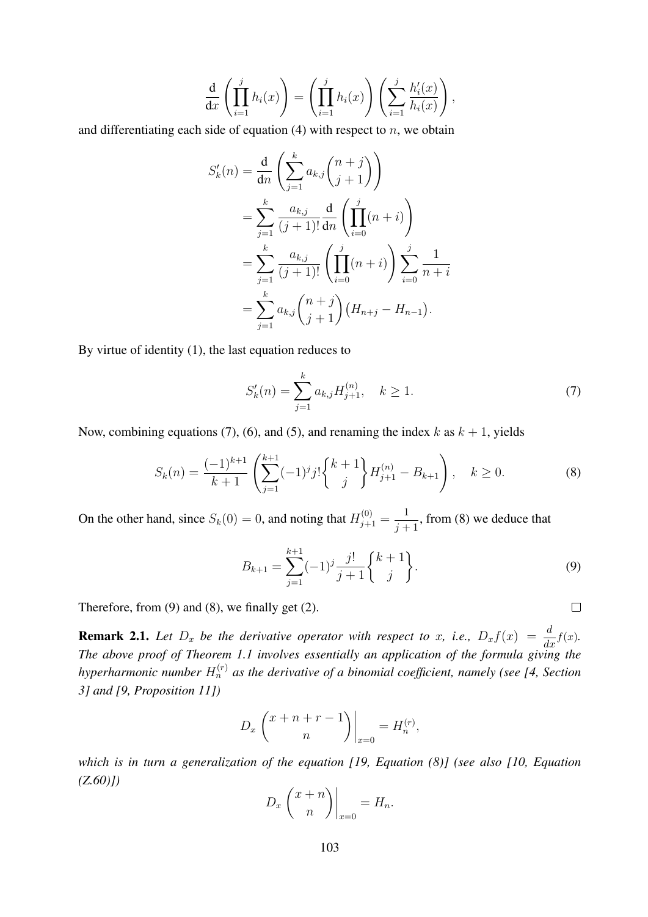$$
\frac{\mathrm{d}}{\mathrm{d}x}\left(\prod_{i=1}^j h_i(x)\right) = \left(\prod_{i=1}^j h_i(x)\right)\left(\sum_{i=1}^j \frac{h'_i(x)}{h_i(x)}\right),\,
$$

and differentiating each side of equation  $(4)$  with respect to n, we obtain

$$
S'_{k}(n) = \frac{d}{dn} \left( \sum_{j=1}^{k} a_{k,j} {n+j \choose j+1} \right)
$$
  
= 
$$
\sum_{j=1}^{k} \frac{a_{k,j}}{(j+1)!} \frac{d}{dn} \left( \prod_{i=0}^{j} (n+i) \right)
$$
  
= 
$$
\sum_{j=1}^{k} \frac{a_{k,j}}{(j+1)!} \left( \prod_{i=0}^{j} (n+i) \right) \sum_{i=0}^{j} \frac{1}{n+i}
$$
  
= 
$$
\sum_{j=1}^{k} a_{k,j} {n+j \choose j+1} (H_{n+j} - H_{n-1}).
$$

By virtue of identity (1), the last equation reduces to

$$
S'_{k}(n) = \sum_{j=1}^{k} a_{k,j} H_{j+1}^{(n)}, \quad k \ge 1.
$$
 (7)

Now, combining equations (7), (6), and (5), and renaming the index k as  $k + 1$ , yields

$$
S_k(n) = \frac{(-1)^{k+1}}{k+1} \left( \sum_{j=1}^{k+1} (-1)^j j! \begin{Bmatrix} k+1 \\ j \end{Bmatrix} H_{j+1}^{(n)} - B_{k+1} \right), \quad k \ge 0.
$$
 (8)

On the other hand, since  $S_k(0) = 0$ , and noting that  $H_{j+1}^{(0)} = \frac{1}{j+1}$  $\frac{1}{j+1}$ , from (8) we deduce that

$$
B_{k+1} = \sum_{j=1}^{k+1} (-1)^j \frac{j!}{j+1} \begin{Bmatrix} k+1 \\ j \end{Bmatrix}.
$$
 (9)

Therefore, from (9) and (8), we finally get (2).

**Remark 2.1.** Let  $D_x$  be the derivative operator with respect to x, i.e.,  $D_x f(x) = \frac{d}{dx} f(x)$ . *The above proof of Theorem 1.1 involves essentially an application of the formula giving the* hyperharmonic number  $H_n^{(r)}$  as the derivative of a binomial coefficient, namely (see [4, Section *3] and [9, Proposition 11])*

$$
D_x \binom{x+n+r-1}{n} \bigg|_{x=0} = H_n^{(r)},
$$

*which is in turn a generalization of the equation [19, Equation (8)] (see also [10, Equation (Z.60)])*

$$
D_x \binom{x+n}{n} \bigg|_{x=0} = H_n.
$$

 $\Box$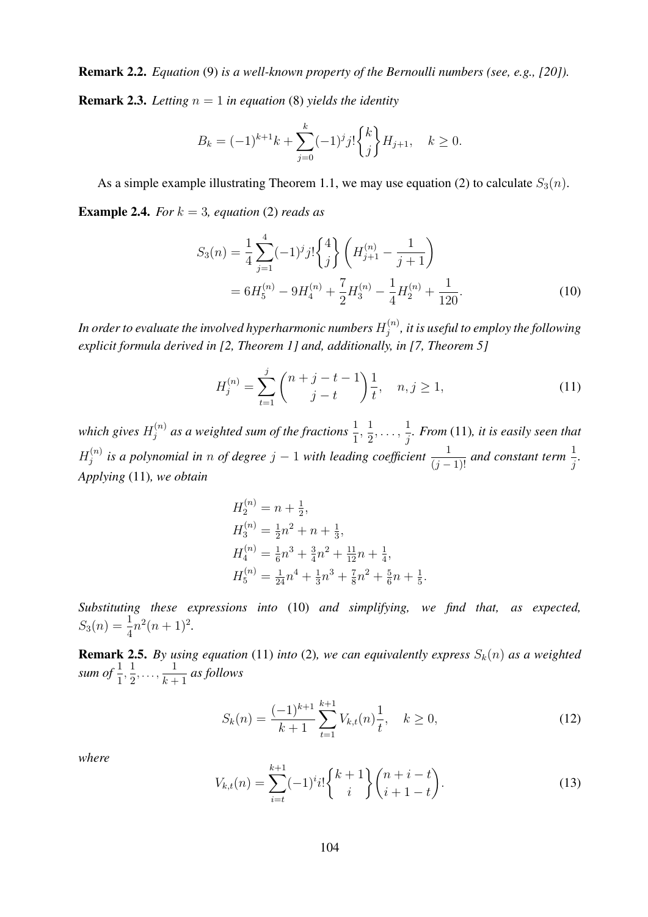Remark 2.2. *Equation* (9) *is a well-known property of the Bernoulli numbers (see, e.g., [20]).* **Remark 2.3.** *Letting*  $n = 1$  *in equation* (8) *yields the identity* 

$$
B_k = (-1)^{k+1}k + \sum_{j=0}^k (-1)^j j! \binom{k}{j} H_{j+1}, \quad k \ge 0.
$$

As a simple example illustrating Theorem 1.1, we may use equation (2) to calculate  $S_3(n)$ . **Example 2.4.** *For*  $k = 3$ *, equation* (2) *reads as* 

$$
S_3(n) = \frac{1}{4} \sum_{j=1}^{4} (-1)^j j! \binom{4}{j} \left( H_{j+1}^{(n)} - \frac{1}{j+1} \right)
$$
  
=  $6H_5^{(n)} - 9H_4^{(n)} + \frac{7}{2}H_3^{(n)} - \frac{1}{4}H_2^{(n)} + \frac{1}{120}.$  (10)

In order to evaluate the involved hyperharmonic numbers  $H_i^{(n)}$  $j^{(n)}_j$ , it is useful to employ the following *explicit formula derived in [2, Theorem 1] and, additionally, in [7, Theorem 5]*

$$
H_j^{(n)} = \sum_{t=1}^j \binom{n+j-t-1}{j-t} \frac{1}{t}, \quad n, j \ge 1,\tag{11}
$$

which gives  $H_i^{(n)}$  $\sigma_j^{(n)}$  as a weighted sum of the fractions  $\frac{1}{1}$ ,  $\frac{1}{2}$  $\frac{1}{2}, \ldots, \frac{1}{j}$ j *. From* (11)*, it is easily seen that*  $H_i^{(n)}$  $j^{(n)}$  is a polynomial in n of degree  $j-1$  with leading coefficient  $\frac{1}{(j-1)!}$  and constant term  $\frac{1}{j}$ . *Applying* (11)*, we obtain*

$$
H_2^{(n)} = n + \frac{1}{2},
$$
  
\n
$$
H_3^{(n)} = \frac{1}{2}n^2 + n + \frac{1}{3},
$$
  
\n
$$
H_4^{(n)} = \frac{1}{6}n^3 + \frac{3}{4}n^2 + \frac{11}{12}n + \frac{1}{4},
$$
  
\n
$$
H_5^{(n)} = \frac{1}{24}n^4 + \frac{1}{3}n^3 + \frac{7}{8}n^2 + \frac{5}{6}n + \frac{1}{5}.
$$

*Substituting these expressions into* (10) *and simplifying, we find that, as expected,*  $S_3(n) = \frac{1}{4}n^2(n+1)^2.$ 

**Remark 2.5.** By using equation (11) into (2), we can equivalently express  $S_k(n)$  as a weighted sum of  $\frac{1}{1}, \frac{1}{2}$  $\frac{1}{2}, \ldots, \frac{1}{k+1}$  $\frac{1}{k+1}$  as follows

$$
S_k(n) = \frac{(-1)^{k+1}}{k+1} \sum_{t=1}^{k+1} V_{k,t}(n) \frac{1}{t}, \quad k \ge 0,
$$
\n(12)

*where*

$$
V_{k,t}(n) = \sum_{i=t}^{k+1} (-1)^{i} i! \binom{k+1}{i} \binom{n+i-t}{i+1-t}.
$$
 (13)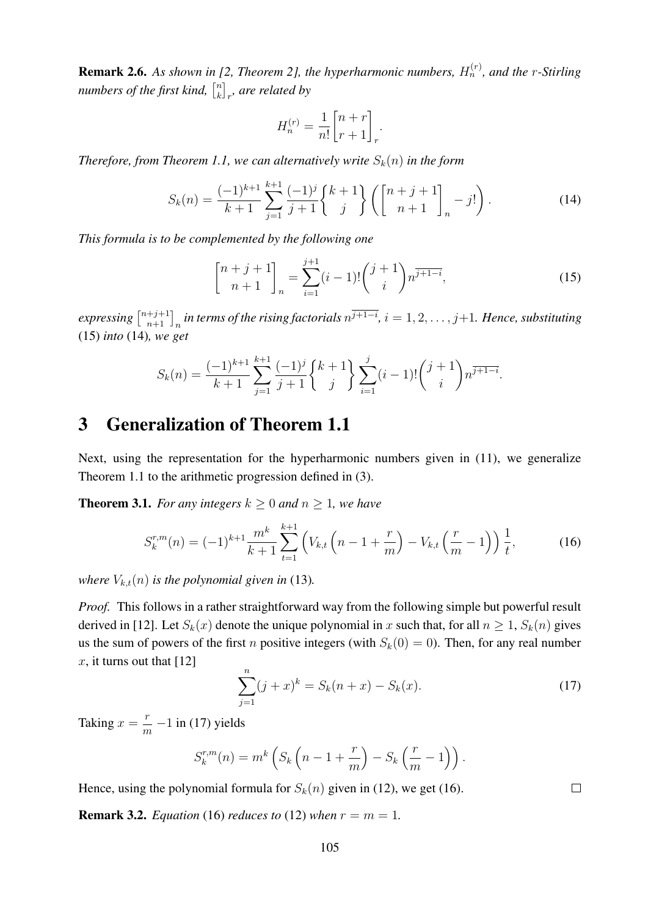**Remark 2.6.** As shown in [2, Theorem 2], the hyperharmonic numbers,  $H_n^{(r)}$ , and the r-Stirling numbers of the first kind,  $\begin{bmatrix} n \\ k \end{bmatrix}$  $\binom{n}{k}_r$ , are related by

$$
H_n^{(r)} = \frac{1}{n!} \begin{bmatrix} n+r \\ r+1 \end{bmatrix}_r.
$$

*Therefore, from Theorem 1.1, we can alternatively write*  $S_k(n)$  *in the form* 

$$
S_k(n) = \frac{(-1)^{k+1}}{k+1} \sum_{j=1}^{k+1} \frac{(-1)^j}{j+1} {k+1 \choose j} \left( {n+j+1 \brack n+1}_{n} - j! \right).
$$
 (14)

*This formula is to be complemented by the following one*

$$
\begin{bmatrix} n+j+1 \ n+1 \end{bmatrix}_n = \sum_{i=1}^{j+1} (i-1)! \binom{j+1}{i} n^{\overline{j+1-i}}, \tag{15}
$$

 $exp$ ressing  $\left[\frac{n+j+1}{n+1}\right]_n$  in terms of the rising factorials  $n^{\overline{j+1-i}},$   $i=1,2,\ldots,j+1.$  Hence, substituting (15) *into* (14)*, we get*

$$
S_k(n) = \frac{(-1)^{k+1}}{k+1} \sum_{j=1}^{k+1} \frac{(-1)^j}{j+1} {k+1 \choose j} \sum_{i=1}^j (i-1)! {j+1 \choose i} n^{\overline{j+1-i}}.
$$

### 3 Generalization of Theorem 1.1

Next, using the representation for the hyperharmonic numbers given in (11), we generalize Theorem 1.1 to the arithmetic progression defined in (3).

**Theorem 3.1.** *For any integers*  $k \geq 0$  *and*  $n \geq 1$ *, we have* 

$$
S_k^{r,m}(n) = (-1)^{k+1} \frac{m^k}{k+1} \sum_{t=1}^{k+1} \left( V_{k,t} \left( n - 1 + \frac{r}{m} \right) - V_{k,t} \left( \frac{r}{m} - 1 \right) \right) \frac{1}{t}, \tag{16}
$$

*where*  $V_{k,t}(n)$  *is the polynomial given in* (13)*.* 

*Proof.* This follows in a rather straightforward way from the following simple but powerful result derived in [12]. Let  $S_k(x)$  denote the unique polynomial in x such that, for all  $n \geq 1$ ,  $S_k(n)$  gives us the sum of powers of the first *n* positive integers (with  $S_k(0) = 0$ ). Then, for any real number  $x$ , it turns out that [12]

$$
\sum_{j=1}^{n} (j+x)^{k} = S_{k}(n+x) - S_{k}(x).
$$
 (17)

Taking  $x = \frac{r}{x}$  $\frac{1}{m}$  –1 in (17) yields

$$
S_k^{r,m}(n) = m^k \left( S_k \left( n - 1 + \frac{r}{m} \right) - S_k \left( \frac{r}{m} - 1 \right) \right).
$$

Hence, using the polynomial formula for  $S_k(n)$  given in (12), we get (16).

**Remark 3.2.** *Equation* (16) *reduces to* (12) *when*  $r = m = 1$ *.* 

 $\Box$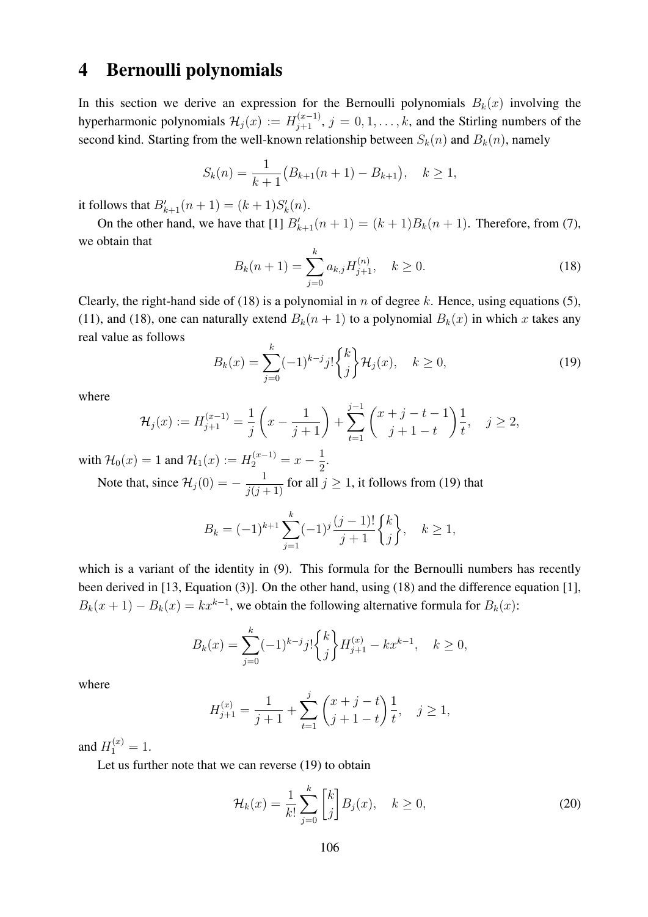#### 4 Bernoulli polynomials

In this section we derive an expression for the Bernoulli polynomials  $B_k(x)$  involving the hyperharmonic polynomials  $\mathcal{H}_j(x) := H_{j+1}^{(x-1)}$ ,  $j = 0, 1, \ldots, k$ , and the Stirling numbers of the second kind. Starting from the well-known relationship between  $S_k(n)$  and  $B_k(n)$ , namely

$$
S_k(n) = \frac{1}{k+1} (B_{k+1}(n+1) - B_{k+1}), \quad k \ge 1,
$$

it follows that  $B'_{k+1}(n+1) = (k+1)S'_{k}(n)$ .

On the other hand, we have that [1]  $B'_{k+1}(n + 1) = (k + 1)B_k(n + 1)$ . Therefore, from (7), we obtain that

$$
B_k(n+1) = \sum_{j=0}^k a_{k,j} H_{j+1}^{(n)}, \quad k \ge 0.
$$
 (18)

Clearly, the right-hand side of (18) is a polynomial in n of degree k. Hence, using equations (5), (11), and (18), one can naturally extend  $B_k(n + 1)$  to a polynomial  $B_k(x)$  in which x takes any real value as follows

$$
B_k(x) = \sum_{j=0}^k (-1)^{k-j} j! \binom{k}{j} \mathcal{H}_j(x), \quad k \ge 0,
$$
\n(19)

where

$$
\mathcal{H}_j(x) := H_{j+1}^{(x-1)} = \frac{1}{j} \left( x - \frac{1}{j+1} \right) + \sum_{t=1}^{j-1} \binom{x+j-t-1}{j+1-t} \frac{1}{t}, \quad j \ge 2,
$$

with  $\mathcal{H}_0(x) = 1$  and  $\mathcal{H}_1(x) := H_2^{(x-1)} = x - \frac{1}{2}$ . 2

Note that, since  $\mathcal{H}_j(0) = -\frac{1}{j(j+1)}$  for all  $j \ge 1$ , it follows from (19) that

$$
B_k = (-1)^{k+1} \sum_{j=1}^k (-1)^j \frac{(j-1)!}{j+1} \begin{Bmatrix} k \\ j \end{Bmatrix}, \quad k \ge 1,
$$

which is a variant of the identity in (9). This formula for the Bernoulli numbers has recently been derived in [13, Equation (3)]. On the other hand, using (18) and the difference equation [1],  $B_k(x+1) - B_k(x) = kx^{k-1}$ , we obtain the following alternative formula for  $B_k(x)$ :

$$
B_k(x) = \sum_{j=0}^k (-1)^{k-j} j! \binom{k}{j} H_{j+1}^{(x)} - kx^{k-1}, \quad k \ge 0,
$$

where

$$
H_{j+1}^{(x)} = \frac{1}{j+1} + \sum_{t=1}^{j} \binom{x+j-t}{j+1-t} \frac{1}{t}, \quad j \ge 1,
$$

and  $H_1^{(x)} = 1$ .

Let us further note that we can reverse (19) to obtain

$$
\mathcal{H}_k(x) = \frac{1}{k!} \sum_{j=0}^k \begin{bmatrix} k \\ j \end{bmatrix} B_j(x), \quad k \ge 0,
$$
\n(20)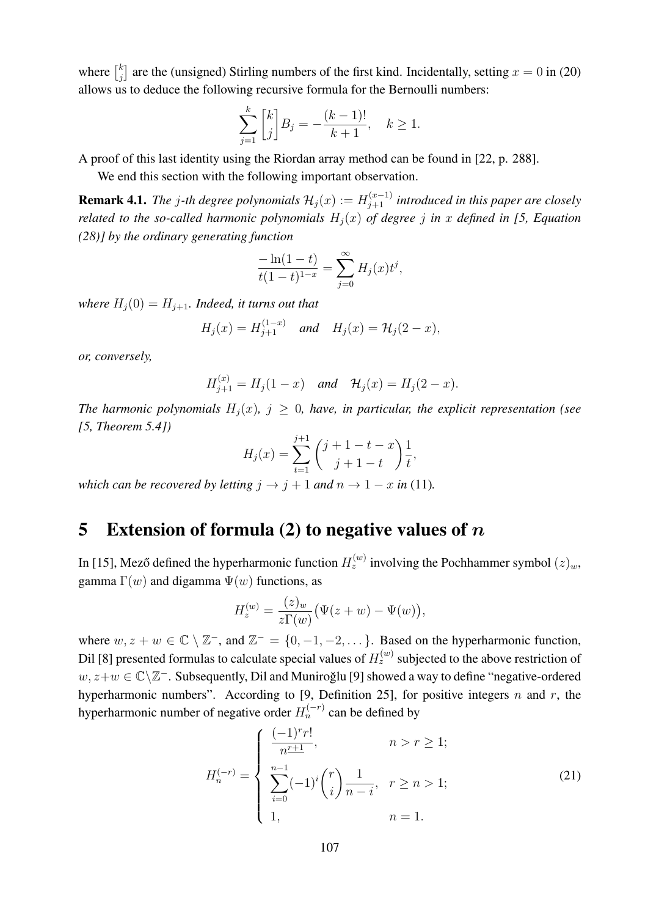where  $\begin{bmatrix} k \\ i \end{bmatrix}$  $j_j^k$  are the (unsigned) Stirling numbers of the first kind. Incidentally, setting  $x = 0$  in (20) allows us to deduce the following recursive formula for the Bernoulli numbers:

$$
\sum_{j=1}^{k} \binom{k}{j} B_j = -\frac{(k-1)!}{k+1}, \quad k \ge 1.
$$

A proof of this last identity using the Riordan array method can be found in [22, p. 288].

We end this section with the following important observation.

**Remark 4.1.** The j-th degree polynomials  $\mathcal{H}_j(x) := H_{j+1}^{(x-1)}$  introduced in this paper are closely *related to the so-called harmonic polynomials*  $H_i(x)$  *of degree j in* x defined in [5, Equation *(28)] by the ordinary generating function*

$$
\frac{-\ln(1-t)}{t(1-t)^{1-x}} = \sum_{j=0}^{\infty} H_j(x)t^j,
$$

*where*  $H_i(0) = H_{i+1}$ *. Indeed, it turns out that* 

$$
H_j(x) = H_{j+1}^{(1-x)}
$$
 and  $H_j(x) = H_j(2-x)$ ,

*or, conversely,*

$$
H_{j+1}^{(x)} = H_j(1-x)
$$
 and  $H_j(x) = H_j(2-x)$ .

*The harmonic polynomials*  $H_i(x)$ ,  $j \geq 0$ , have, in particular, the explicit representation (see *[5, Theorem 5.4])*

$$
H_j(x) = \sum_{t=1}^{j+1} {j+1-t-x \choose j+1-t} \frac{1}{t},
$$

*which can be recovered by letting*  $j \rightarrow j + 1$  *and*  $n \rightarrow 1 - x$  *in* (11)*.* 

#### 5 Extension of formula (2) to negative values of  $n$

In [15], Mező defined the hyperharmonic function  $H_z^{(w)}$  involving the Pochhammer symbol  $(z)_w$ , gamma  $\Gamma(w)$  and digamma  $\Psi(w)$  functions, as

$$
H_z^{(w)} = \frac{(z)_w}{z\Gamma(w)} \big(\Psi(z+w) - \Psi(w)\big),
$$

where  $w, z + w \in \mathbb{C} \setminus \mathbb{Z}^-$ , and  $\mathbb{Z}^- = \{0, -1, -2, \dots\}$ . Based on the hyperharmonic function, Dil [8] presented formulas to calculate special values of  $H_z^{(w)}$  subjected to the above restriction of  $w, z+w \in \mathbb{C} \backslash \mathbb{Z}^+$ . Subsequently, Dil and Muniroğlu [9] showed a way to define "negative-ordered hyperharmonic numbers". According to [9, Definition 25], for positive integers n and r, the hyperharmonic number of negative order  $H_n^{(-r)}$  can be defined by

$$
H_n^{(-r)} = \begin{cases} \frac{(-1)^r r!}{n^{r+1}}, & n > r \ge 1; \\ \sum_{i=0}^{n-1} (-1)^i \binom{r}{i} \frac{1}{n-i}, & r \ge n > 1; \\ 1, & n = 1. \end{cases}
$$
 (21)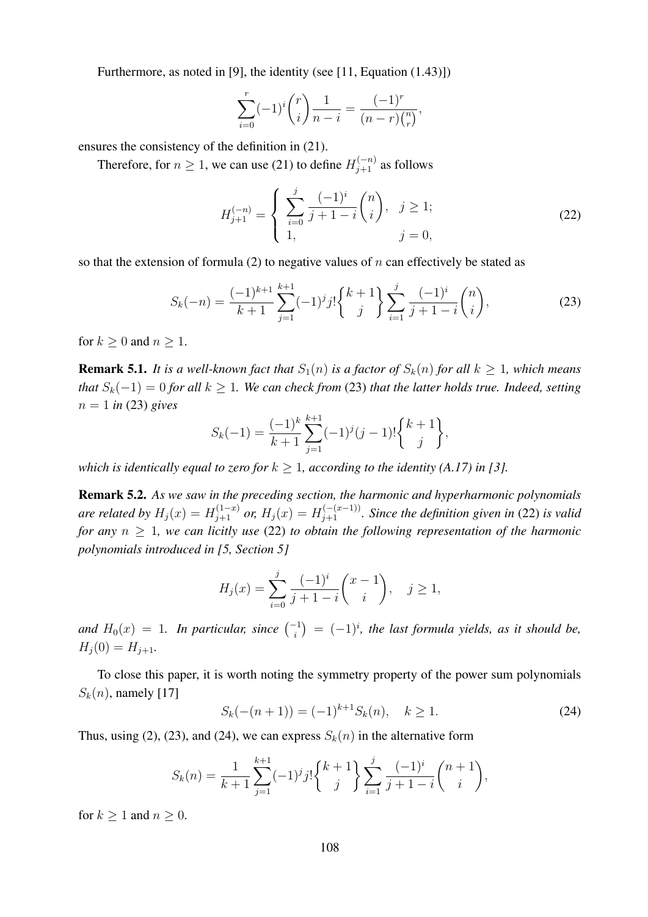Furthermore, as noted in [9], the identity (see [11, Equation (1.43)])

$$
\sum_{i=0}^{r} (-1)^{i} {r \choose i} \frac{1}{n-i} = \frac{(-1)^{r}}{(n-r) {n \choose r}},
$$

ensures the consistency of the definition in (21).

Therefore, for  $n \ge 1$ , we can use (21) to define  $H_{j+1}^{(-n)}$  as follows

$$
H_{j+1}^{(-n)} = \begin{cases} \sum_{i=0}^{j} \frac{(-1)^i}{j+1-i} \binom{n}{i}, & j \ge 1; \\ 1, & j = 0, \end{cases}
$$
 (22)

so that the extension of formula (2) to negative values of n can effectively be stated as

$$
S_k(-n) = \frac{(-1)^{k+1}}{k+1} \sum_{j=1}^{k+1} (-1)^j j! \begin{Bmatrix} k+1 \\ j \end{Bmatrix} \sum_{i=1}^j \frac{(-1)^i}{j+1-i} \binom{n}{i},\tag{23}
$$

for  $k > 0$  and  $n > 1$ .

**Remark 5.1.** It is a well-known fact that  $S_1(n)$  is a factor of  $S_k(n)$  for all  $k \ge 1$ , which means *that*  $S_k(-1) = 0$  *for all*  $k \ge 1$ *. We can check from* (23) *that the latter holds true. Indeed, setting*  $n = 1$  *in* (23) *gives* 

$$
S_k(-1) = \frac{(-1)^k}{k+1} \sum_{j=1}^{k+1} (-1)^j (j-1)! \binom{k+1}{j},
$$

*which is identically equal to zero for*  $k \geq 1$ , according to the identity (A.17) in [3].

Remark 5.2. *As we saw in the preceding section, the harmonic and hyperharmonic polynomials are related by*  $H_j(x) = H_{j+1}^{(1-x)}$  *or,*  $H_j(x) = H_{j+1}^{(-(x-1))}$ . Since the definition given in (22) is valid *for any*  $n \geq 1$ *, we can licitly use* (22) *to obtain the following representation of the harmonic polynomials introduced in [5, Section 5]*

$$
H_j(x) = \sum_{i=0}^j \frac{(-1)^i}{j+1-i} {x-1 \choose i}, \quad j \ge 1,
$$

and  $H_0(x) = 1$ . In particular, since  $\binom{-1}{i} = (-1)^i$ , the last formula yields, as it should be,  $H_j (0) = H_{j+1}.$ 

To close this paper, it is worth noting the symmetry property of the power sum polynomials  $S_k(n)$ , namely [17]

$$
S_k(-(n+1)) = (-1)^{k+1} S_k(n), \quad k \ge 1.
$$
 (24)

Thus, using (2), (23), and (24), we can express  $S_k(n)$  in the alternative form

$$
S_k(n) = \frac{1}{k+1} \sum_{j=1}^{k+1} (-1)^j j! \binom{k+1}{j} \sum_{i=1}^j \frac{(-1)^i}{j+1-i} \binom{n+1}{i},
$$

for  $k \geq 1$  and  $n \geq 0$ .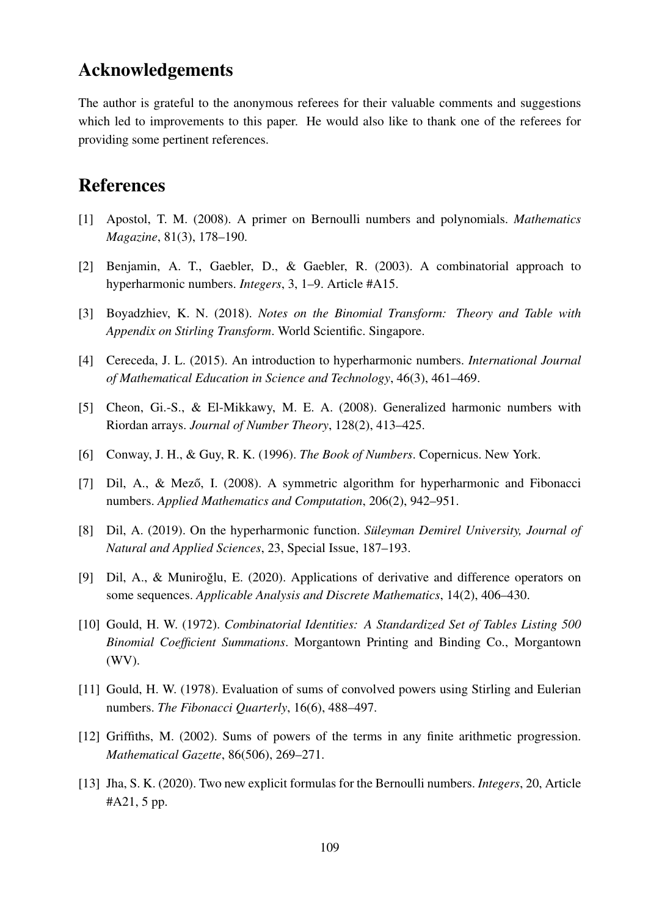## Acknowledgements

The author is grateful to the anonymous referees for their valuable comments and suggestions which led to improvements to this paper. He would also like to thank one of the referees for providing some pertinent references.

### References

- [1] Apostol, T. M. (2008). A primer on Bernoulli numbers and polynomials. *Mathematics Magazine*, 81(3), 178–190.
- [2] Benjamin, A. T., Gaebler, D., & Gaebler, R. (2003). A combinatorial approach to hyperharmonic numbers. *Integers*, 3, 1–9. Article #A15.
- [3] Boyadzhiev, K. N. (2018). *Notes on the Binomial Transform: Theory and Table with Appendix on Stirling Transform*. World Scientific. Singapore.
- [4] Cereceda, J. L. (2015). An introduction to hyperharmonic numbers. *International Journal of Mathematical Education in Science and Technology*, 46(3), 461–469.
- [5] Cheon, Gi.-S., & El-Mikkawy, M. E. A. (2008). Generalized harmonic numbers with Riordan arrays. *Journal of Number Theory*, 128(2), 413–425.
- [6] Conway, J. H., & Guy, R. K. (1996). *The Book of Numbers*. Copernicus. New York.
- [7] Dil, A., & Mező, I. (2008). A symmetric algorithm for hyperharmonic and Fibonacci numbers. *Applied Mathematics and Computation*, 206(2), 942–951.
- [8] Dil, A. (2019). On the hyperharmonic function. *Suleyman Demirel University, Journal of ¨ Natural and Applied Sciences*, 23, Special Issue, 187–193.
- [9] Dil, A., & Muniroğlu, E. (2020). Applications of derivative and difference operators on some sequences. *Applicable Analysis and Discrete Mathematics*, 14(2), 406–430.
- [10] Gould, H. W. (1972). *Combinatorial Identities: A Standardized Set of Tables Listing 500 Binomial Coefficient Summations*. Morgantown Printing and Binding Co., Morgantown (WV).
- [11] Gould, H. W. (1978). Evaluation of sums of convolved powers using Stirling and Eulerian numbers. *The Fibonacci Quarterly*, 16(6), 488–497.
- [12] Griffiths, M. (2002). Sums of powers of the terms in any finite arithmetic progression. *Mathematical Gazette*, 86(506), 269–271.
- [13] Jha, S. K. (2020). Two new explicit formulas for the Bernoulli numbers. *Integers*, 20, Article #A21, 5 pp.